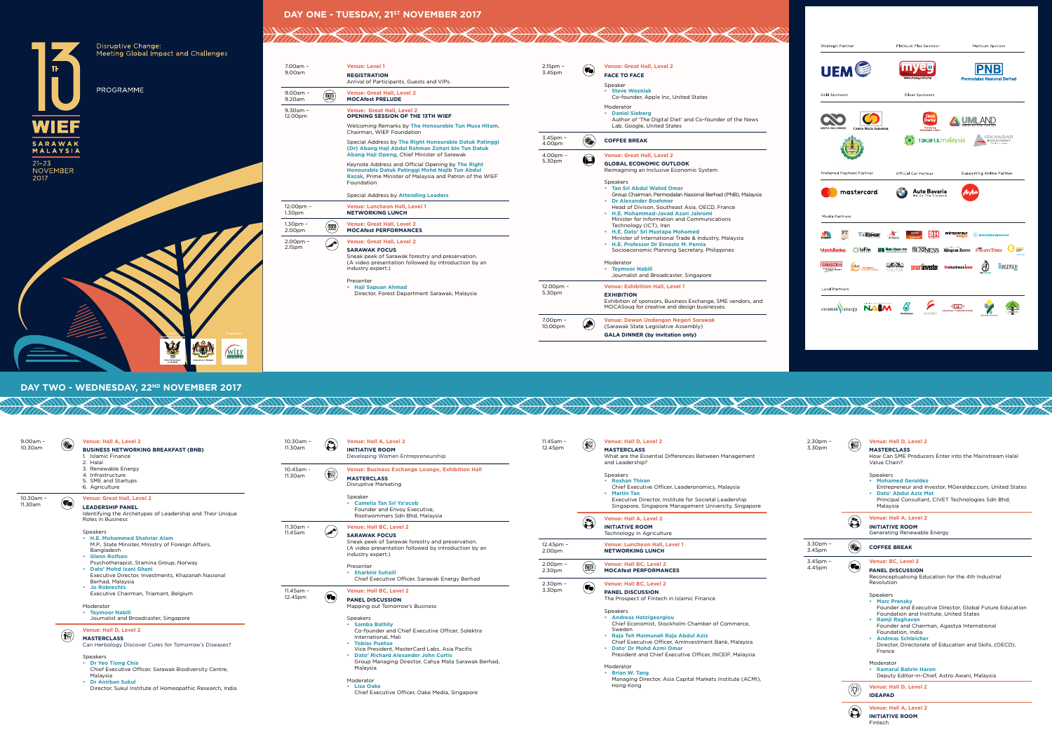### **DAY ONE - TUESDAY, 21ST NOVEMBER 2017**

11817



### 7.00am – 2.15pm – **Venue: Great Hall, Level 2 Venue: Level 1**  $\left( \blacksquare \right)$ 9.00am 3.45pm **REGISTRATION FACE TO FACE** Arrival of Participants, Guests and VIPs. Speaker **• Steve Wozniak** 9.00am – **Venue: Great Hall, Level 2**  $\left(\frac{\text{MOCA}}{\text{MOCA}}\right)$ Co-founder, Apple Inc, United States 9.20am **MOCAfest PRELUDE** Moderator **Venue: Great Hall, Level 2** 9.30am – **• Daniel Sieberg OPENING SESSION OF THE 13TH WIEF** 12.00pm Author of 'The Digital Diet' and Co-founder of the News Welcoming Remarks by **The Honourable Tun Musa Hitam,** Lab, Google, United States Chairman, WIEF Foundation 3.45pm – **4.000 COFFEE BREAK** Special Address by **The Right Honourable Datuk Patinggi (Dr) Abang Haji Abdul Rahman Zohari bin Tun Datuk Abang Haji Openg,** Chief Minister of Sarawak  $4.00nm -$ **Venue: Great Hall, Level 2** 5.30pm **GLOBAL ECONOMIC OUTLOOK** Keynote Address and Official Opening by **The Right**  Reimagining an Inclusive Economic System **Honourable Datuk Patinggi Mohd Najib Tun Abdul Razak,** Prime Minister of Malaysia and Patron of the WIEF Foundation Speakers **• Tan Sri Abdul Wahid Omar** Special Address by **Attending Leaders** Group Chairman, Permodalan Nasional Berhad (PNB), Malaysia **• Dr Alexander Boehmer** 12.00pm – **Venue: Luncheon Hall, Level 1**  Head of Divison, Southeast Asia, OECD, France 1.30pm **NETWORKING LUNCH • H.E. Mohammad-Javad Azari Jahromi** Minister for Information and Communications 1.30pm – **Venue: Great Hall, Level 2**  $\left(\frac{\overline{\text{mpc}}}{\text{mpc}}\right)$ Technology (ICT), Iran 2.00pm **MOCAfest PERFORMANCES • H.E. Dato' Sri Mustapa Mohamed** Minister of International Trade & Industry, Malaysia 2.00pm – **Venue: Great Hall, Level 2**  $\left( \begin{matrix} \end{matrix} \right)$ **• H.E. Professor Dr Ernesto M. Pernia** 2.15pm **SARAWAK FOCUS** Socioeconomic Planning Secretary, Philippines Sneak peek of Sarawak forestry and preservation. (A video presentation followed by introduction by an Moderator **• Teymoor Nabili** industry expert.) Journalist and Broadcaster, Singapore Presenter **• Haji Sapuan Ahmad Venue: Exhibition Hall, Level 1** 12.00pm – 5.30pm Director, Forest Department Sarawak, Malaysia **EXHIBITION** Exhibition of sponsors, Business Exchange, SME vendors, and MOCASouq for creative and design businesses.

7.00pm – 10.00pm

♠

**Venue: Dewan Undangan Negeri Sarawak** (Sarawak State Legislative Assembly) **GALA DINNER (by invitation only)**

DAY TWO - WEDNESDAY, 22<sup>ND</sup> NOVEMBER 2017

11 (77X

**ANG ANG PARTIES** 

 $\left(\frac{\sqrt{2}}{2}\right)$ 

| $9.00am -$<br>10.30am | ۱           | <b>Venue: Hall A, Level 2</b><br><b>BUSINESS NETWORKING BREAKFAST (BNB)</b><br>1. Islamic Finance<br>2. Halal<br>3. Renewable Energy<br>4. Infrastructure<br>5. SME and Startups<br>6. Agriculture                                                                                                                                                                      | 10.30am -<br>11.30am    | $\binom{n}{1}$      | <b>Venue: Hall A. Level 2</b><br><b>INITIATIVE ROOM</b><br>Developing Women Entrepreneurship                                                                                                                                                                                                                                     | 11.45am -<br>12.45pm | 偷                                            | <b>Venue: Hall D. Level 2</b><br><b>MASTERCLASS</b><br>What are the Essential Differences Between Management<br>and Leadership?                                                                                                     |
|-----------------------|-------------|-------------------------------------------------------------------------------------------------------------------------------------------------------------------------------------------------------------------------------------------------------------------------------------------------------------------------------------------------------------------------|-------------------------|---------------------|----------------------------------------------------------------------------------------------------------------------------------------------------------------------------------------------------------------------------------------------------------------------------------------------------------------------------------|----------------------|----------------------------------------------|-------------------------------------------------------------------------------------------------------------------------------------------------------------------------------------------------------------------------------------|
|                       |             |                                                                                                                                                                                                                                                                                                                                                                         | 10.45am -<br>11.30am    | 偷                   | <b>Venue: Business Exchange Lounge, Exhibition Hall</b><br><b>MASTERCLASS</b><br><b>Disruptive Marketing</b><br>Speaker<br>• Camelia Tan Sri Ya'acob<br>Founder and Envoy Executive,<br>Rootwommers Sdn Bhd, Malaysia<br><b>Venue: Hall BC, Level 2</b><br><b>SARAWAK FOCUS</b>                                                  |                      |                                              | Speakers<br>• Roshan Thiran<br>Chief Executive Officer, Leaderonomics, Malaysia<br>• Martin Tan                                                                                                                                     |
| 10.30am -<br>11.30am  | $\left($ To | <b>Venue: Great Hall, Level 2</b><br><b>LEADERSHIP PANEL</b><br>Identifying the Archetypes of Leadership and Their Unique                                                                                                                                                                                                                                               |                         |                     |                                                                                                                                                                                                                                                                                                                                  |                      |                                              | Executive Director, Institute for Societal Leadership<br>Singapore, Singapore Management University, Singapore                                                                                                                      |
|                       |             | Roles in Business<br><b>Speakers</b><br>• H.E. Mohammed Shahriar Alam<br>M.P., State Minister, Ministry of Foreign Affairs,<br>Bangladesh<br>• Glenn Rolfsen<br>Psychotherapist, Stamina Group, Norway<br>• Dato' Mohd Izani Ghani<br>Executive Director, Investments, Khazanah Nasional<br>Berhad, Malaysia<br>• Jo Robrechts<br>Executive Chairman, Triamant, Belgium | 11.30am -<br>11.45am    |                     |                                                                                                                                                                                                                                                                                                                                  |                      | $\mathbf{G}$                                 | <b>Venue: Hall A, Level 2</b><br><b>INITIATIVE ROOM</b><br>Technology in Agriculture                                                                                                                                                |
|                       |             |                                                                                                                                                                                                                                                                                                                                                                         |                         |                     | Sneak peek of Sarawak forestry and preservation.<br>(A video presentation followed by introduction by an<br>industry expert.)                                                                                                                                                                                                    | 12.45pm -<br>2.00pm  |                                              | <b>Venue: Luncheon Hall, Level 1</b><br><b>NETWORKING LUNCH</b>                                                                                                                                                                     |
|                       |             |                                                                                                                                                                                                                                                                                                                                                                         |                         |                     | Presenter<br>• Sharbini Suhaili<br>Chief Executive Officer, Sarawak Energy Berhad                                                                                                                                                                                                                                                | 2.00pm -<br>2.30pm   | $\overline{\text{max}}$                      | Venue: Hall BC, Level 2<br><b>MOCAfest PERFORMANCES</b>                                                                                                                                                                             |
|                       |             |                                                                                                                                                                                                                                                                                                                                                                         | $11.45$ am -<br>12.45pm | $(\P_\blacksquare)$ | <b>Venue: Hall BC, Level 2</b><br><b>PANEL DISCUSSION</b>                                                                                                                                                                                                                                                                        | 2.30pm -<br>3.30pm   | $\left( \bigcap \limits_{i=1}^n S_i \right)$ | <b>Venue: Hall BC, Level 2</b><br><b>PANEL DISCUSSION</b><br>The Prospect of Fintech in Islamic Finance                                                                                                                             |
|                       |             | Moderator<br>• Teymoor Nabili<br>Journalist and Broadcaster, Singapore                                                                                                                                                                                                                                                                                                  |                         |                     | Mapping out Tomorrow's Business<br><b>Speakers</b><br>• Samba Bathily<br>Co-founder and Chief Executive Officer, Solektra<br>International, Mali<br>• Tobias Puehse<br>Vice President, MasterCard Labs, Asia Pacific<br>• Dato' Richard Alexander John Curtis<br>Group Managing Director, Cahya Mata Sarawak Berhad,<br>Malaysia |                      |                                              | <b>Speakers</b><br>• Andreas Hatzigeorgiou<br>Chief Economist, Stockholm Chamber of Commerce,<br>Sweden<br>• Raja Teh Maimunah Raja Abdul Aziz<br>Chief Executive Officer, AmInvestment Bank, Malaysia<br>• Dato' Dr Mohd Azmi Omar |
|                       | 儒           | Venue: Hall D, Level 2<br><b>MASTERCLASS</b><br>Can Herbology Discover Cures for Tomorrow's Diseases?                                                                                                                                                                                                                                                                   |                         |                     |                                                                                                                                                                                                                                                                                                                                  |                      |                                              |                                                                                                                                                                                                                                     |
|                       |             | <b>Speakers</b><br>• Dr Yeo Tiong Chia<br>Chief Executive Officer, Sarawak Biodiversity Centre,<br>Malaysia                                                                                                                                                                                                                                                             |                         |                     |                                                                                                                                                                                                                                                                                                                                  |                      |                                              | President and Chief Executive Officer, INCEIF, Malaysia<br>Moderator<br>• Brian W. Tang                                                                                                                                             |
|                       |             | • Dr Anirban Sukul<br>Director, Sukul Institute of Homeopathic Research, India                                                                                                                                                                                                                                                                                          |                         |                     | Moderator<br>• Lisa Oake<br>Chief Executive Officer, Oake Media, Singapore                                                                                                                                                                                                                                                       |                      |                                              | Managing Director, Asia Capital Markets Institute (ACMI),<br>Hong Kong                                                                                                                                                              |